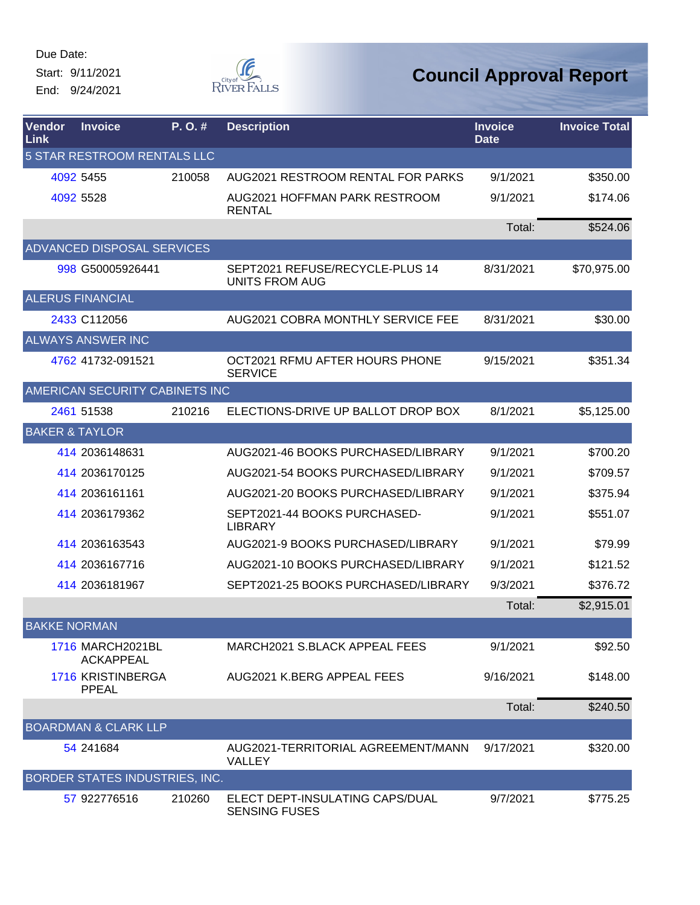Due Date: Start: 9/11/2021

End: 9/24/2021



| Vendor<br>Link              | <b>Invoice</b>                              | P.O.#  | <b>Description</b>                                       | <b>Invoice</b><br><b>Date</b> | <b>Invoice Total</b> |  |  |
|-----------------------------|---------------------------------------------|--------|----------------------------------------------------------|-------------------------------|----------------------|--|--|
| 5 STAR RESTROOM RENTALS LLC |                                             |        |                                                          |                               |                      |  |  |
|                             | 4092 5455                                   | 210058 | AUG2021 RESTROOM RENTAL FOR PARKS                        | 9/1/2021                      | \$350.00             |  |  |
|                             | 4092 5528                                   |        | AUG2021 HOFFMAN PARK RESTROOM<br><b>RENTAL</b>           | 9/1/2021                      | \$174.06             |  |  |
|                             |                                             |        |                                                          | Total:                        | \$524.06             |  |  |
|                             | <b>ADVANCED DISPOSAL SERVICES</b>           |        |                                                          |                               |                      |  |  |
|                             | 998 G50005926441                            |        | SEPT2021 REFUSE/RECYCLE-PLUS 14<br><b>UNITS FROM AUG</b> | 8/31/2021                     | \$70,975.00          |  |  |
|                             | <b>ALERUS FINANCIAL</b>                     |        |                                                          |                               |                      |  |  |
|                             | 2433 C112056                                |        | AUG2021 COBRA MONTHLY SERVICE FEE                        | 8/31/2021                     | \$30.00              |  |  |
|                             | <b>ALWAYS ANSWER INC</b>                    |        |                                                          |                               |                      |  |  |
|                             | 4762 41732-091521                           |        | OCT2021 RFMU AFTER HOURS PHONE<br><b>SERVICE</b>         | 9/15/2021                     | \$351.34             |  |  |
|                             | AMERICAN SECURITY CABINETS INC              |        |                                                          |                               |                      |  |  |
|                             | 2461 51538                                  | 210216 | ELECTIONS-DRIVE UP BALLOT DROP BOX                       | 8/1/2021                      | \$5,125.00           |  |  |
| <b>BAKER &amp; TAYLOR</b>   |                                             |        |                                                          |                               |                      |  |  |
|                             | 414 2036148631                              |        | AUG2021-46 BOOKS PURCHASED/LIBRARY                       | 9/1/2021                      | \$700.20             |  |  |
|                             | 414 2036170125                              |        | AUG2021-54 BOOKS PURCHASED/LIBRARY                       | 9/1/2021                      | \$709.57             |  |  |
|                             | 414 2036161161                              |        | AUG2021-20 BOOKS PURCHASED/LIBRARY                       | 9/1/2021                      | \$375.94             |  |  |
|                             | 414 2036179362                              |        | SEPT2021-44 BOOKS PURCHASED-<br><b>LIBRARY</b>           | 9/1/2021                      | \$551.07             |  |  |
|                             | 414 2036163543                              |        | AUG2021-9 BOOKS PURCHASED/LIBRARY                        | 9/1/2021                      | \$79.99              |  |  |
|                             | 414 2036167716                              |        | AUG2021-10 BOOKS PURCHASED/LIBRARY                       | 9/1/2021                      | \$121.52             |  |  |
|                             | 414 2036181967                              |        | SEPT2021-25 BOOKS PURCHASED/LIBRARY                      | 9/3/2021                      | \$376.72             |  |  |
|                             |                                             |        |                                                          | Total:                        | \$2,915.01           |  |  |
| <b>BAKKE NORMAN</b>         |                                             |        |                                                          |                               |                      |  |  |
|                             | <b>1716 MARCH2021BL</b><br><b>ACKAPPEAL</b> |        | MARCH2021 S.BLACK APPEAL FEES                            | 9/1/2021                      | \$92.50              |  |  |
|                             | 1716 KRISTINBERGA<br><b>PPEAL</b>           |        | AUG2021 K.BERG APPEAL FEES                               | 9/16/2021                     | \$148.00             |  |  |
|                             |                                             |        |                                                          | Total:                        | \$240.50             |  |  |
|                             | <b>BOARDMAN &amp; CLARK LLP</b>             |        |                                                          |                               |                      |  |  |
|                             | 54 241684                                   |        | AUG2021-TERRITORIAL AGREEMENT/MANN<br>VALLEY             | 9/17/2021                     | \$320.00             |  |  |
|                             | BORDER STATES INDUSTRIES, INC.              |        |                                                          |                               |                      |  |  |
|                             | 57 922776516                                | 210260 | ELECT DEPT-INSULATING CAPS/DUAL<br><b>SENSING FUSES</b>  | 9/7/2021                      | \$775.25             |  |  |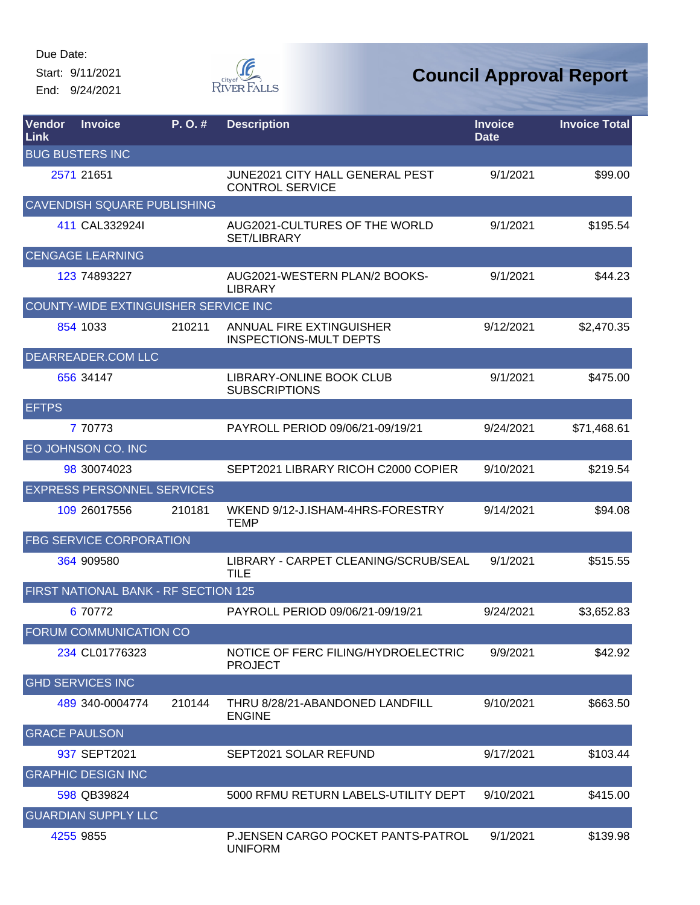Start: 9/11/2021 End: 9/24/2021



| Vendor<br><b>Link</b> | <b>Invoice</b>                       | P. O. # | <b>Description</b>                                        | <b>Invoice</b><br><b>Date</b> | <b>Invoice Total</b> |
|-----------------------|--------------------------------------|---------|-----------------------------------------------------------|-------------------------------|----------------------|
|                       | <b>BUG BUSTERS INC</b>               |         |                                                           |                               |                      |
|                       | 2571 21651                           |         | JUNE2021 CITY HALL GENERAL PEST<br><b>CONTROL SERVICE</b> | 9/1/2021                      | \$99.00              |
|                       | <b>CAVENDISH SQUARE PUBLISHING</b>   |         |                                                           |                               |                      |
|                       | 411 CAL332924I                       |         | AUG2021-CULTURES OF THE WORLD<br><b>SET/LIBRARY</b>       | 9/1/2021                      | \$195.54             |
|                       | <b>CENGAGE LEARNING</b>              |         |                                                           |                               |                      |
|                       | 123 74893227                         |         | AUG2021-WESTERN PLAN/2 BOOKS-<br><b>LIBRARY</b>           | 9/1/2021                      | \$44.23              |
|                       | COUNTY-WIDE EXTINGUISHER SERVICE INC |         |                                                           |                               |                      |
|                       | 854 1033                             | 210211  | ANNUAL FIRE EXTINGUISHER<br><b>INSPECTIONS-MULT DEPTS</b> | 9/12/2021                     | \$2,470.35           |
|                       | DEARREADER.COM LLC                   |         |                                                           |                               |                      |
|                       | 656 34147                            |         | LIBRARY-ONLINE BOOK CLUB<br><b>SUBSCRIPTIONS</b>          | 9/1/2021                      | \$475.00             |
| <b>EFTPS</b>          |                                      |         |                                                           |                               |                      |
|                       | 7 70773                              |         | PAYROLL PERIOD 09/06/21-09/19/21                          | 9/24/2021                     | \$71,468.61          |
|                       | EO JOHNSON CO. INC                   |         |                                                           |                               |                      |
|                       | 98 30074023                          |         | SEPT2021 LIBRARY RICOH C2000 COPIER                       | 9/10/2021                     | \$219.54             |
|                       | <b>EXPRESS PERSONNEL SERVICES</b>    |         |                                                           |                               |                      |
|                       | 109 26017556                         | 210181  | WKEND 9/12-J.ISHAM-4HRS-FORESTRY<br><b>TEMP</b>           | 9/14/2021                     | \$94.08              |
|                       | <b>FBG SERVICE CORPORATION</b>       |         |                                                           |                               |                      |
|                       | 364 909580                           |         | LIBRARY - CARPET CLEANING/SCRUB/SEAL<br><b>TILE</b>       | 9/1/2021                      | \$515.55             |
|                       | FIRST NATIONAL BANK - RF SECTION 125 |         |                                                           |                               |                      |
|                       | 6 70772                              |         | PAYROLL PERIOD 09/06/21-09/19/21                          | 9/24/2021                     | \$3,652.83           |
|                       | <b>FORUM COMMUNICATION CO</b>        |         |                                                           |                               |                      |
|                       | 234 CL01776323                       |         | NOTICE OF FERC FILING/HYDROELECTRIC<br><b>PROJECT</b>     | 9/9/2021                      | \$42.92              |
|                       | <b>GHD SERVICES INC</b>              |         |                                                           |                               |                      |
|                       | 489 340-0004774                      | 210144  | THRU 8/28/21-ABANDONED LANDFILL<br><b>ENGINE</b>          | 9/10/2021                     | \$663.50             |
| <b>GRACE PAULSON</b>  |                                      |         |                                                           |                               |                      |
|                       | 937 SEPT2021                         |         | SEPT2021 SOLAR REFUND                                     | 9/17/2021                     | \$103.44             |
|                       | <b>GRAPHIC DESIGN INC</b>            |         |                                                           |                               |                      |
|                       | 598 QB39824                          |         | 5000 RFMU RETURN LABELS-UTILITY DEPT                      | 9/10/2021                     | \$415.00             |
|                       | <b>GUARDIAN SUPPLY LLC</b>           |         |                                                           |                               |                      |
|                       | 4255 9855                            |         | P. JENSEN CARGO POCKET PANTS-PATROL<br><b>UNIFORM</b>     | 9/1/2021                      | \$139.98             |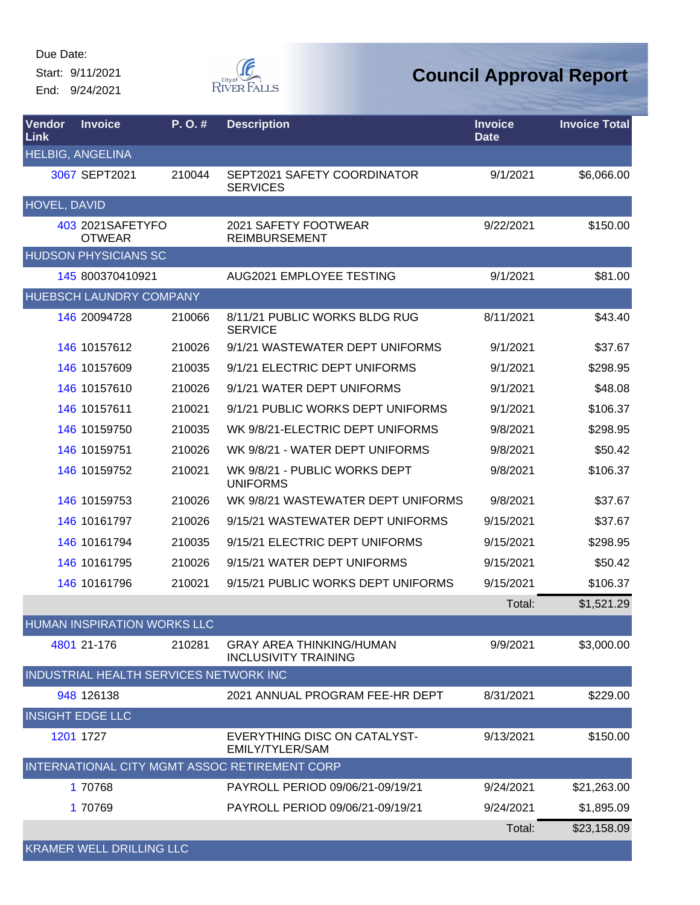Start: 9/11/2021 End: 9/24/2021



| <b>Vendor</b><br>Link | <b>Invoice</b>                    | P. O. #                                | <b>Description</b>                                             | <b>Invoice</b><br><b>Date</b> | <b>Invoice Total</b> |
|-----------------------|-----------------------------------|----------------------------------------|----------------------------------------------------------------|-------------------------------|----------------------|
|                       | <b>HELBIG, ANGELINA</b>           |                                        |                                                                |                               |                      |
|                       | 3067 SEPT2021                     | 210044                                 | SEPT2021 SAFETY COORDINATOR<br><b>SERVICES</b>                 | 9/1/2021                      | \$6,066.00           |
| <b>HOVEL, DAVID</b>   |                                   |                                        |                                                                |                               |                      |
|                       | 403 2021SAFETYFO<br><b>OTWEAR</b> |                                        | 2021 SAFETY FOOTWEAR<br><b>REIMBURSEMENT</b>                   | 9/22/2021                     | \$150.00             |
|                       | <b>HUDSON PHYSICIANS SC</b>       |                                        |                                                                |                               |                      |
|                       | 145 800370410921                  |                                        | AUG2021 EMPLOYEE TESTING                                       | 9/1/2021                      | \$81.00              |
|                       | <b>HUEBSCH LAUNDRY COMPANY</b>    |                                        |                                                                |                               |                      |
|                       | 146 20094728                      | 210066                                 | 8/11/21 PUBLIC WORKS BLDG RUG<br><b>SERVICE</b>                | 8/11/2021                     | \$43.40              |
|                       | 146 10157612                      | 210026                                 | 9/1/21 WASTEWATER DEPT UNIFORMS                                | 9/1/2021                      | \$37.67              |
|                       | 146 10157609                      | 210035                                 | 9/1/21 ELECTRIC DEPT UNIFORMS                                  | 9/1/2021                      | \$298.95             |
|                       | 146 10157610                      | 210026                                 | 9/1/21 WATER DEPT UNIFORMS                                     | 9/1/2021                      | \$48.08              |
|                       | 146 10157611                      | 210021                                 | 9/1/21 PUBLIC WORKS DEPT UNIFORMS                              | 9/1/2021                      | \$106.37             |
|                       | 146 10159750                      | 210035                                 | WK 9/8/21-ELECTRIC DEPT UNIFORMS                               | 9/8/2021                      | \$298.95             |
|                       | 146 10159751                      | 210026                                 | WK 9/8/21 - WATER DEPT UNIFORMS                                | 9/8/2021                      | \$50.42              |
|                       | 146 10159752                      | 210021                                 | WK 9/8/21 - PUBLIC WORKS DEPT<br><b>UNIFORMS</b>               | 9/8/2021                      | \$106.37             |
|                       | 146 10159753                      | 210026                                 | WK 9/8/21 WASTEWATER DEPT UNIFORMS                             | 9/8/2021                      | \$37.67              |
|                       | 146 10161797                      | 210026                                 | 9/15/21 WASTEWATER DEPT UNIFORMS                               | 9/15/2021                     | \$37.67              |
|                       | 146 10161794                      | 210035                                 | 9/15/21 ELECTRIC DEPT UNIFORMS                                 | 9/15/2021                     | \$298.95             |
|                       | 146 10161795                      | 210026                                 | 9/15/21 WATER DEPT UNIFORMS                                    | 9/15/2021                     | \$50.42              |
|                       | 146 10161796                      | 210021                                 | 9/15/21 PUBLIC WORKS DEPT UNIFORMS                             | 9/15/2021                     | \$106.37             |
|                       |                                   |                                        |                                                                | Total:                        | \$1,521.29           |
|                       |                                   | <b>HUMAN INSPIRATION WORKS LLC</b>     |                                                                |                               |                      |
|                       | 4801 21-176                       | 210281                                 | <b>GRAY AREA THINKING/HUMAN</b><br><b>INCLUSIVITY TRAINING</b> | 9/9/2021                      | \$3,000.00           |
|                       |                                   | INDUSTRIAL HEALTH SERVICES NETWORK INC |                                                                |                               |                      |
|                       | 948 126138                        |                                        | 2021 ANNUAL PROGRAM FEE-HR DEPT                                | 8/31/2021                     | \$229.00             |
|                       | <b>INSIGHT EDGE LLC</b>           |                                        |                                                                |                               |                      |
|                       | 1201 1727                         |                                        | EVERYTHING DISC ON CATALYST-<br><b>EMILY/TYLER/SAM</b>         | 9/13/2021                     | \$150.00             |
|                       |                                   |                                        | INTERNATIONAL CITY MGMT ASSOC RETIREMENT CORP                  |                               |                      |
|                       | 1 70768                           |                                        | PAYROLL PERIOD 09/06/21-09/19/21                               | 9/24/2021                     | \$21,263.00          |
|                       | 1 70769                           |                                        | PAYROLL PERIOD 09/06/21-09/19/21                               | 9/24/2021                     | \$1,895.09           |
|                       |                                   |                                        |                                                                | Total:                        | \$23,158.09          |
|                       | <b>KRAMER WELL DRILLING LLC</b>   |                                        |                                                                |                               |                      |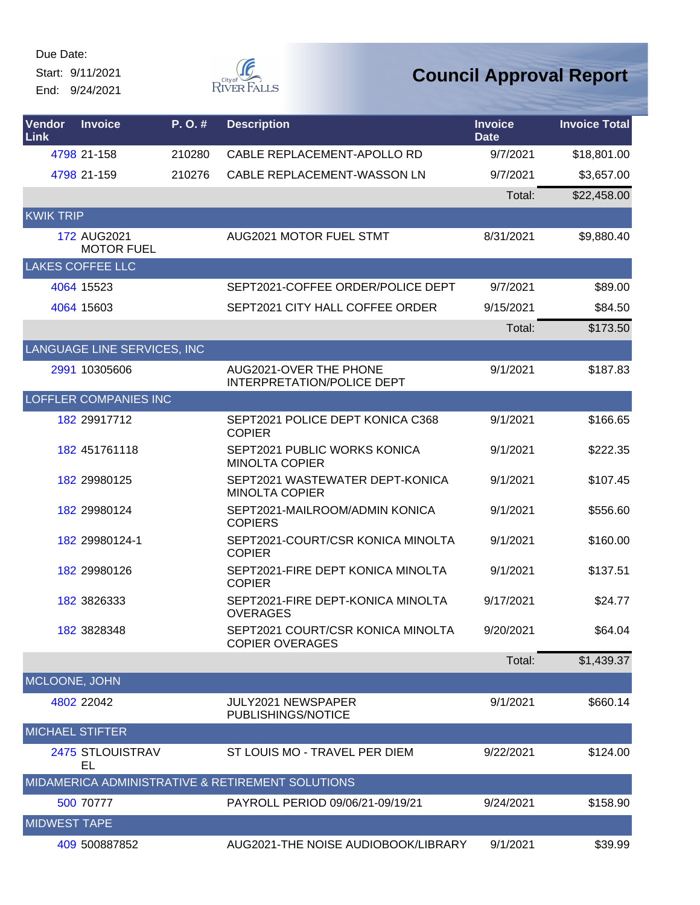Start: 9/11/2021 End: 9/24/2021



| Vendor<br>Link         | <b>Invoice</b>                   | P.O.#  | <b>Description</b>                                          | <b>Invoice</b><br><b>Date</b> | <b>Invoice Total</b> |
|------------------------|----------------------------------|--------|-------------------------------------------------------------|-------------------------------|----------------------|
|                        | 4798 21-158                      | 210280 | CABLE REPLACEMENT-APOLLO RD                                 | 9/7/2021                      | \$18,801.00          |
|                        | 4798 21-159                      | 210276 | CABLE REPLACEMENT-WASSON LN                                 | 9/7/2021                      | \$3,657.00           |
|                        |                                  |        |                                                             | Total:                        | \$22,458.00          |
| <b>KWIK TRIP</b>       |                                  |        |                                                             |                               |                      |
|                        | 172 AUG2021<br><b>MOTOR FUEL</b> |        | <b>AUG2021 MOTOR FUEL STMT</b>                              | 8/31/2021                     | \$9,880.40           |
|                        | <b>LAKES COFFEE LLC</b>          |        |                                                             |                               |                      |
|                        | 4064 15523                       |        | SEPT2021-COFFEE ORDER/POLICE DEPT                           | 9/7/2021                      | \$89.00              |
|                        | 4064 15603                       |        | SEPT2021 CITY HALL COFFEE ORDER                             | 9/15/2021                     | \$84.50              |
|                        |                                  |        |                                                             | Total:                        | \$173.50             |
|                        | LANGUAGE LINE SERVICES, INC      |        |                                                             |                               |                      |
|                        | 2991 10305606                    |        | AUG2021-OVER THE PHONE<br>INTERPRETATION/POLICE DEPT        | 9/1/2021                      | \$187.83             |
|                        | <b>LOFFLER COMPANIES INC</b>     |        |                                                             |                               |                      |
|                        | 182 29917712                     |        | SEPT2021 POLICE DEPT KONICA C368<br><b>COPIER</b>           | 9/1/2021                      | \$166.65             |
|                        | 182 451761118                    |        | SEPT2021 PUBLIC WORKS KONICA<br><b>MINOLTA COPIER</b>       | 9/1/2021                      | \$222.35             |
|                        | 182 29980125                     |        | SEPT2021 WASTEWATER DEPT-KONICA<br><b>MINOLTA COPIER</b>    | 9/1/2021                      | \$107.45             |
|                        | 182 29980124                     |        | SEPT2021-MAILROOM/ADMIN KONICA<br><b>COPIERS</b>            | 9/1/2021                      | \$556.60             |
|                        | 182 29980124-1                   |        | SEPT2021-COURT/CSR KONICA MINOLTA<br><b>COPIER</b>          | 9/1/2021                      | \$160.00             |
|                        | 182 29980126                     |        | SEPT2021-FIRE DEPT KONICA MINOLTA<br><b>COPIER</b>          | 9/1/2021                      | \$137.51             |
|                        | 182 3826333                      |        | SEPT2021-FIRE DEPT-KONICA MINOLTA<br><b>OVERAGES</b>        | 9/17/2021                     | \$24.77              |
|                        | 182 3828348                      |        | SEPT2021 COURT/CSR KONICA MINOLTA<br><b>COPIER OVERAGES</b> | 9/20/2021                     | \$64.04              |
|                        |                                  |        |                                                             | Total:                        | \$1,439.37           |
| MCLOONE, JOHN          |                                  |        |                                                             |                               |                      |
|                        | 4802 22042                       |        | JULY2021 NEWSPAPER<br>PUBLISHINGS/NOTICE                    | 9/1/2021                      | \$660.14             |
| <b>MICHAEL STIFTER</b> |                                  |        |                                                             |                               |                      |
|                        | 2475 STLOUISTRAV<br>EL           |        | ST LOUIS MO - TRAVEL PER DIEM                               | 9/22/2021                     | \$124.00             |
|                        |                                  |        | MIDAMERICA ADMINISTRATIVE & RETIREMENT SOLUTIONS            |                               |                      |
|                        | 500 70777                        |        | PAYROLL PERIOD 09/06/21-09/19/21                            | 9/24/2021                     | \$158.90             |
| <b>MIDWEST TAPE</b>    |                                  |        |                                                             |                               |                      |
|                        | 409 500887852                    |        | AUG2021-THE NOISE AUDIOBOOK/LIBRARY                         | 9/1/2021                      | \$39.99              |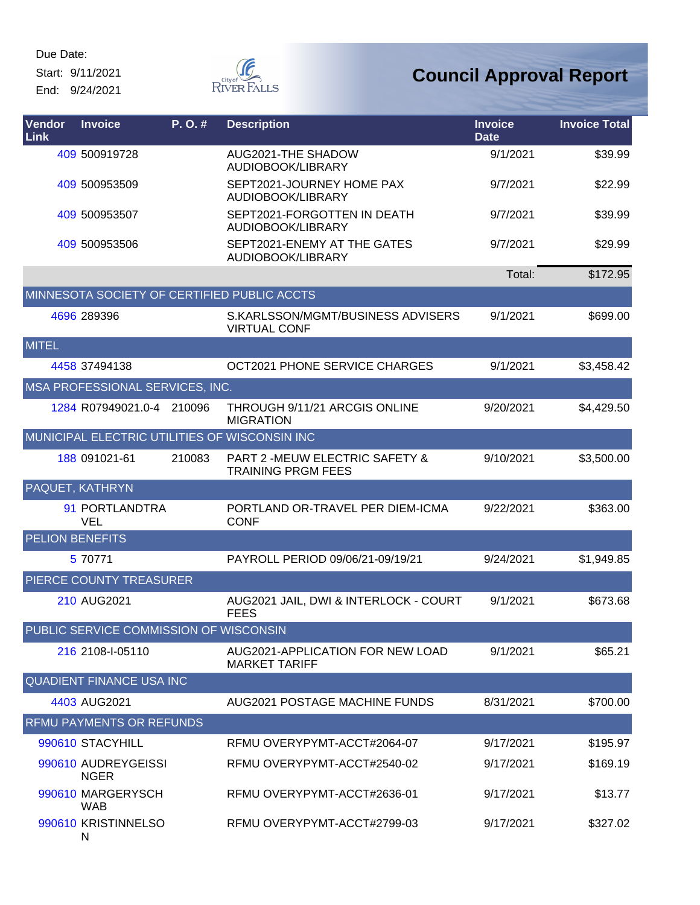Start: 9/11/2021 End: 9/24/2021



| Vendor<br>Link         | <b>Invoice</b>                         | P. O. # | <b>Description</b>                                                     | <b>Invoice</b><br><b>Date</b> | <b>Invoice Total</b> |
|------------------------|----------------------------------------|---------|------------------------------------------------------------------------|-------------------------------|----------------------|
|                        | 409 500919728                          |         | AUG2021-THE SHADOW<br>AUDIOBOOK/LIBRARY                                | 9/1/2021                      | \$39.99              |
|                        | 409 500953509                          |         | SEPT2021-JOURNEY HOME PAX<br>AUDIOBOOK/LIBRARY                         | 9/7/2021                      | \$22.99              |
|                        | 409 500953507                          |         | SEPT2021-FORGOTTEN IN DEATH<br>AUDIOBOOK/LIBRARY                       | 9/7/2021                      | \$39.99              |
|                        | 409 500953506                          |         | SEPT2021-ENEMY AT THE GATES<br>AUDIOBOOK/LIBRARY                       | 9/7/2021                      | \$29.99              |
|                        |                                        |         |                                                                        | Total:                        | \$172.95             |
|                        |                                        |         | MINNESOTA SOCIETY OF CERTIFIED PUBLIC ACCTS                            |                               |                      |
|                        | 4696 289396                            |         | S.KARLSSON/MGMT/BUSINESS ADVISERS<br><b>VIRTUAL CONF</b>               | 9/1/2021                      | \$699.00             |
| <b>MITEL</b>           |                                        |         |                                                                        |                               |                      |
|                        | 4458 37494138                          |         | OCT2021 PHONE SERVICE CHARGES                                          | 9/1/2021                      | \$3,458.42           |
|                        | MSA PROFESSIONAL SERVICES, INC.        |         |                                                                        |                               |                      |
|                        | 1284 R07949021.0-4 210096              |         | THROUGH 9/11/21 ARCGIS ONLINE<br><b>MIGRATION</b>                      | 9/20/2021                     | \$4,429.50           |
|                        |                                        |         | MUNICIPAL ELECTRIC UTILITIES OF WISCONSIN INC                          |                               |                      |
|                        | 188 091021-61                          | 210083  | <b>PART 2 -MEUW ELECTRIC SAFETY &amp;</b><br><b>TRAINING PRGM FEES</b> | 9/10/2021                     | \$3,500.00           |
|                        | <b>PAQUET, KATHRYN</b>                 |         |                                                                        |                               |                      |
|                        | 91 PORTLANDTRA<br>VEL                  |         | PORTLAND OR-TRAVEL PER DIEM-ICMA<br><b>CONF</b>                        | 9/22/2021                     | \$363.00             |
| <b>PELION BENEFITS</b> |                                        |         |                                                                        |                               |                      |
|                        | 5 70771                                |         | PAYROLL PERIOD 09/06/21-09/19/21                                       | 9/24/2021                     | \$1,949.85           |
|                        | PIERCE COUNTY TREASURER                |         |                                                                        |                               |                      |
|                        | 210 AUG2021                            |         | AUG2021 JAIL, DWI & INTERLOCK - COURT<br><b>FEES</b>                   | 9/1/2021                      | \$673.68             |
|                        | PUBLIC SERVICE COMMISSION OF WISCONSIN |         |                                                                        |                               |                      |
|                        | 216 2108-I-05110                       |         | AUG2021-APPLICATION FOR NEW LOAD<br><b>MARKET TARIFF</b>               | 9/1/2021                      | \$65.21              |
|                        | <b>QUADIENT FINANCE USA INC</b>        |         |                                                                        |                               |                      |
|                        | 4403 AUG2021                           |         | <b>AUG2021 POSTAGE MACHINE FUNDS</b>                                   | 8/31/2021                     | \$700.00             |
|                        | <b>RFMU PAYMENTS OR REFUNDS</b>        |         |                                                                        |                               |                      |
|                        | 990610 STACYHILL                       |         | RFMU OVERYPYMT-ACCT#2064-07                                            | 9/17/2021                     | \$195.97             |
|                        | 990610 AUDREYGEISSI<br><b>NGER</b>     |         | RFMU OVERYPYMT-ACCT#2540-02                                            | 9/17/2021                     | \$169.19             |
|                        | 990610 MARGERYSCH<br><b>WAB</b>        |         | RFMU OVERYPYMT-ACCT#2636-01                                            | 9/17/2021                     | \$13.77              |
|                        | 990610 KRISTINNELSO<br>N               |         | RFMU OVERYPYMT-ACCT#2799-03                                            | 9/17/2021                     | \$327.02             |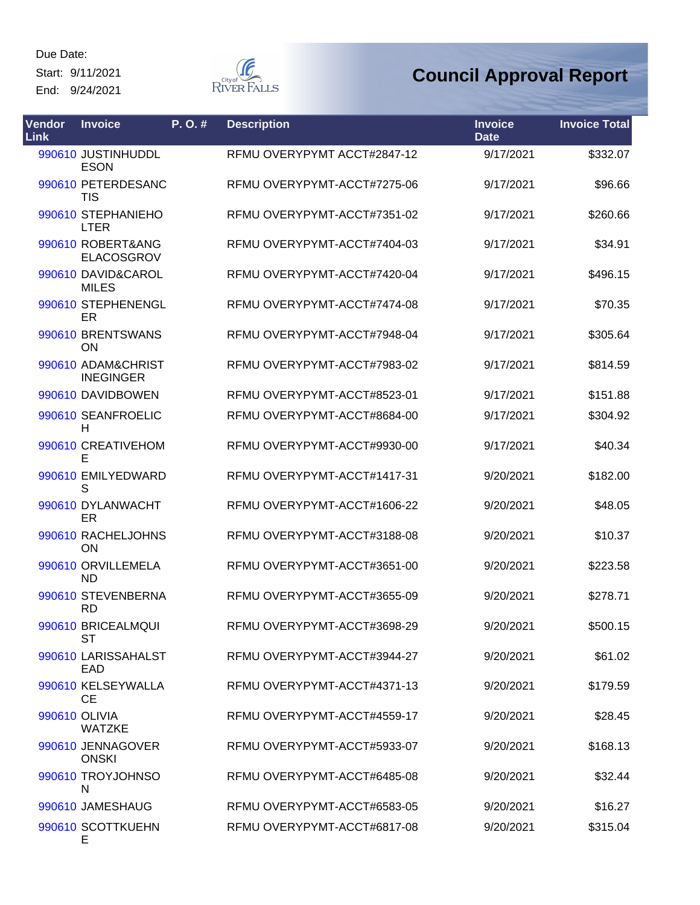Start: 9/11/2021 End: 9/24/2021

**F** RIVER FALLS

| Vendor<br>Link | <b>Invoice</b>                         | P. O. # | <b>Description</b>          | <b>Invoice</b><br><b>Date</b> | <b>Invoice Total</b> |
|----------------|----------------------------------------|---------|-----------------------------|-------------------------------|----------------------|
|                | 990610 JUSTINHUDDL<br><b>ESON</b>      |         | RFMU OVERYPYMT ACCT#2847-12 | 9/17/2021                     | \$332.07             |
|                | 990610 PETERDESANC<br><b>TIS</b>       |         | RFMU OVERYPYMT-ACCT#7275-06 | 9/17/2021                     | \$96.66              |
|                | 990610 STEPHANIEHO<br><b>LTER</b>      |         | RFMU OVERYPYMT-ACCT#7351-02 | 9/17/2021                     | \$260.66             |
|                | 990610 ROBERT&ANG<br>ELACOSGROV        |         | RFMU OVERYPYMT-ACCT#7404-03 | 9/17/2021                     | \$34.91              |
|                | 990610 DAVID&CAROL<br><b>MILES</b>     |         | RFMU OVERYPYMT-ACCT#7420-04 | 9/17/2021                     | \$496.15             |
|                | 990610 STEPHENENGL<br>ER               |         | RFMU OVERYPYMT-ACCT#7474-08 | 9/17/2021                     | \$70.35              |
|                | 990610 BRENTSWANS<br>ON                |         | RFMU OVERYPYMT-ACCT#7948-04 | 9/17/2021                     | \$305.64             |
|                | 990610 ADAM&CHRIST<br><b>INEGINGER</b> |         | RFMU OVERYPYMT-ACCT#7983-02 | 9/17/2021                     | \$814.59             |
|                | 990610 DAVIDBOWEN                      |         | RFMU OVERYPYMT-ACCT#8523-01 | 9/17/2021                     | \$151.88             |
|                | 990610 SEANFROELIC<br>Н                |         | RFMU OVERYPYMT-ACCT#8684-00 | 9/17/2021                     | \$304.92             |
|                | 990610 CREATIVEHOM<br>Е                |         | RFMU OVERYPYMT-ACCT#9930-00 | 9/17/2021                     | \$40.34              |
|                | 990610 EMILYEDWARD<br>S                |         | RFMU OVERYPYMT-ACCT#1417-31 | 9/20/2021                     | \$182.00             |
|                | 990610 DYLANWACHT<br>ER                |         | RFMU OVERYPYMT-ACCT#1606-22 | 9/20/2021                     | \$48.05              |
|                | 990610 RACHELJOHNS<br><b>ON</b>        |         | RFMU OVERYPYMT-ACCT#3188-08 | 9/20/2021                     | \$10.37              |
|                | 990610 ORVILLEMELA<br><b>ND</b>        |         | RFMU OVERYPYMT-ACCT#3651-00 | 9/20/2021                     | \$223.58             |
|                | 990610 STEVENBERNA<br><b>RD</b>        |         | RFMU OVERYPYMT-ACCT#3655-09 | 9/20/2021                     | \$278.71             |
|                | 990610 BRICEALMQUI<br>ST               |         | RFMU OVERYPYMT-ACCT#3698-29 | 9/20/2021                     | \$500.15             |
|                | 990610 LARISSAHALST<br><b>EAD</b>      |         | RFMU OVERYPYMT-ACCT#3944-27 | 9/20/2021                     | \$61.02              |
|                | 990610 KELSEYWALLA<br><b>CE</b>        |         | RFMU OVERYPYMT-ACCT#4371-13 | 9/20/2021                     | \$179.59             |
|                | 990610 OLIVIA<br><b>WATZKE</b>         |         | RFMU OVERYPYMT-ACCT#4559-17 | 9/20/2021                     | \$28.45              |
|                | 990610 JENNAGOVER<br><b>ONSKI</b>      |         | RFMU OVERYPYMT-ACCT#5933-07 | 9/20/2021                     | \$168.13             |
|                | 990610 TROYJOHNSO<br>N                 |         | RFMU OVERYPYMT-ACCT#6485-08 | 9/20/2021                     | \$32.44              |
|                | 990610 JAMESHAUG                       |         | RFMU OVERYPYMT-ACCT#6583-05 | 9/20/2021                     | \$16.27              |
|                | 990610 SCOTTKUEHN<br>Е                 |         | RFMU OVERYPYMT-ACCT#6817-08 | 9/20/2021                     | \$315.04             |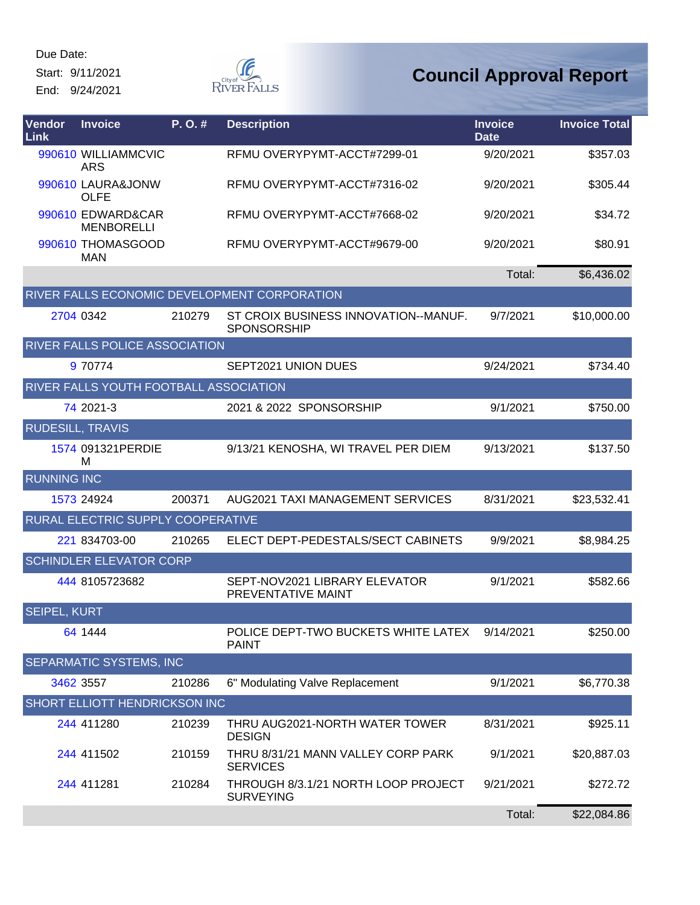Start: 9/11/2021 End: 9/24/2021  $\begin{matrix} \mathcal{G} & \mathcal{G} & \mathcal{G} \\ \mathcal{G} & \mathcal{G} & \mathcal{G} \end{matrix}$  River Falls

| Vendor<br>Link          | <b>Invoice</b>                         | P.O.#  | <b>Description</b>                                      | <b>Invoice</b><br><b>Date</b> | <b>Invoice Total</b> |
|-------------------------|----------------------------------------|--------|---------------------------------------------------------|-------------------------------|----------------------|
|                         | 990610 WILLIAMMCVIC<br><b>ARS</b>      |        | RFMU OVERYPYMT-ACCT#7299-01                             | 9/20/2021                     | \$357.03             |
|                         | 990610 LAURA&JONW<br><b>OLFE</b>       |        | RFMU OVERYPYMT-ACCT#7316-02                             | 9/20/2021                     | \$305.44             |
|                         | 990610 EDWARD&CAR<br><b>MENBORELLI</b> |        | RFMU OVERYPYMT-ACCT#7668-02                             | 9/20/2021                     | \$34.72              |
|                         | 990610 THOMASGOOD<br><b>MAN</b>        |        | RFMU OVERYPYMT-ACCT#9679-00                             | 9/20/2021                     | \$80.91              |
|                         |                                        |        |                                                         | Total:                        | \$6,436.02           |
|                         |                                        |        | RIVER FALLS ECONOMIC DEVELOPMENT CORPORATION            |                               |                      |
|                         | 2704 0342                              | 210279 | ST CROIX BUSINESS INNOVATION--MANUF.<br>SPONSORSHIP     | 9/7/2021                      | \$10,000.00          |
|                         | RIVER FALLS POLICE ASSOCIATION         |        |                                                         |                               |                      |
|                         | 9 70774                                |        | SEPT2021 UNION DUES                                     | 9/24/2021                     | \$734.40             |
|                         | RIVER FALLS YOUTH FOOTBALL ASSOCIATION |        |                                                         |                               |                      |
|                         | 74 2021-3                              |        | 2021 & 2022 SPONSORSHIP                                 | 9/1/2021                      | \$750.00             |
| <b>RUDESILL, TRAVIS</b> |                                        |        |                                                         |                               |                      |
|                         | 1574 091321PERDIE<br>м                 |        | 9/13/21 KENOSHA, WI TRAVEL PER DIEM                     | 9/13/2021                     | \$137.50             |
| <b>RUNNING INC</b>      |                                        |        |                                                         |                               |                      |
|                         | 1573 24924                             | 200371 | AUG2021 TAXI MANAGEMENT SERVICES                        | 8/31/2021                     | \$23,532.41          |
|                         | RURAL ELECTRIC SUPPLY COOPERATIVE      |        |                                                         |                               |                      |
|                         | 221 834703-00                          | 210265 | ELECT DEPT-PEDESTALS/SECT CABINETS                      | 9/9/2021                      | \$8,984.25           |
|                         | <b>SCHINDLER ELEVATOR CORP</b>         |        |                                                         |                               |                      |
|                         | 444 8105723682                         |        | SEPT-NOV2021 LIBRARY ELEVATOR<br>PREVENTATIVE MAINT     | 9/1/2021                      | \$582.66             |
| <b>SEIPEL, KURT</b>     |                                        |        |                                                         |                               |                      |
|                         | 64 1444                                |        | POLICE DEPT-TWO BUCKETS WHITE LATEX<br><b>PAINT</b>     | 9/14/2021                     | \$250.00             |
|                         | SEPARMATIC SYSTEMS, INC                |        |                                                         |                               |                      |
|                         | 3462 3557                              | 210286 | 6" Modulating Valve Replacement                         | 9/1/2021                      | \$6,770.38           |
|                         | <b>SHORT ELLIOTT HENDRICKSON INC</b>   |        |                                                         |                               |                      |
|                         | 244 411280                             | 210239 | THRU AUG2021-NORTH WATER TOWER<br><b>DESIGN</b>         | 8/31/2021                     | \$925.11             |
|                         | 244 411502                             | 210159 | THRU 8/31/21 MANN VALLEY CORP PARK<br><b>SERVICES</b>   | 9/1/2021                      | \$20,887.03          |
|                         | 244 411281                             | 210284 | THROUGH 8/3.1/21 NORTH LOOP PROJECT<br><b>SURVEYING</b> | 9/21/2021                     | \$272.72             |
|                         |                                        |        |                                                         | Total:                        | \$22,084.86          |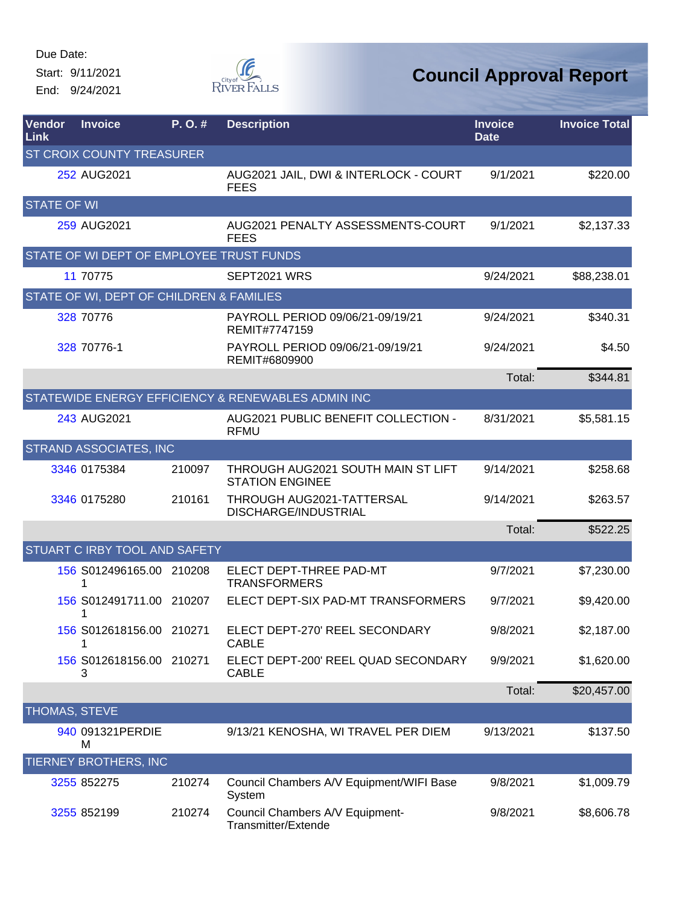Start: 9/11/2021 End: 9/24/2021



| Vendor<br>Link       | <b>Invoice</b>                           | P.O.#  | <b>Description</b>                                           | <b>Invoice</b><br><b>Date</b> | <b>Invoice Total</b> |
|----------------------|------------------------------------------|--------|--------------------------------------------------------------|-------------------------------|----------------------|
|                      | <b>ST CROIX COUNTY TREASURER</b>         |        |                                                              |                               |                      |
|                      | 252 AUG2021                              |        | AUG2021 JAIL, DWI & INTERLOCK - COURT<br><b>FEES</b>         | 9/1/2021                      | \$220.00             |
| <b>STATE OF WI</b>   |                                          |        |                                                              |                               |                      |
|                      | 259 AUG2021                              |        | AUG2021 PENALTY ASSESSMENTS-COURT<br><b>FEES</b>             | 9/1/2021                      | \$2,137.33           |
|                      | STATE OF WI DEPT OF EMPLOYEE TRUST FUNDS |        |                                                              |                               |                      |
|                      | 11 70775                                 |        | SEPT2021 WRS                                                 | 9/24/2021                     | \$88,238.01          |
|                      | STATE OF WI, DEPT OF CHILDREN & FAMILIES |        |                                                              |                               |                      |
|                      | 328 70776                                |        | PAYROLL PERIOD 09/06/21-09/19/21<br>REMIT#7747159            | 9/24/2021                     | \$340.31             |
|                      | 328 70776-1                              |        | PAYROLL PERIOD 09/06/21-09/19/21<br>REMIT#6809900            | 9/24/2021                     | \$4.50               |
|                      |                                          |        |                                                              | Total:                        | \$344.81             |
|                      |                                          |        | STATEWIDE ENERGY EFFICIENCY & RENEWABLES ADMIN INC           |                               |                      |
|                      | 243 AUG2021                              |        | AUG2021 PUBLIC BENEFIT COLLECTION -<br><b>RFMU</b>           | 8/31/2021                     | \$5,581.15           |
|                      | STRAND ASSOCIATES, INC                   |        |                                                              |                               |                      |
|                      | 3346 0175384                             | 210097 | THROUGH AUG2021 SOUTH MAIN ST LIFT<br><b>STATION ENGINEE</b> | 9/14/2021                     | \$258.68             |
|                      | 3346 0175280                             | 210161 | THROUGH AUG2021-TATTERSAL<br>DISCHARGE/INDUSTRIAL            | 9/14/2021                     | \$263.57             |
|                      |                                          |        |                                                              | Total:                        | \$522.25             |
|                      | STUART C IRBY TOOL AND SAFETY            |        |                                                              |                               |                      |
|                      | 156 S012496165.00 210208<br>1            |        | ELECT DEPT-THREE PAD-MT<br><b>TRANSFORMERS</b>               | 9/7/2021                      | \$7,230.00           |
|                      | 156 S012491711.00 210207<br>1            |        | ELECT DEPT-SIX PAD-MT TRANSFORMERS                           | 9/7/2021                      | \$9,420.00           |
|                      | 156 S012618156.00 210271                 |        | ELECT DEPT-270' REEL SECONDARY<br><b>CABLE</b>               | 9/8/2021                      | \$2,187.00           |
|                      | 156 S012618156.00 210271<br>3            |        | ELECT DEPT-200' REEL QUAD SECONDARY<br><b>CABLE</b>          | 9/9/2021                      | \$1,620.00           |
|                      |                                          |        |                                                              | Total:                        | \$20,457.00          |
| <b>THOMAS, STEVE</b> |                                          |        |                                                              |                               |                      |
|                      | 940 091321PERDIE<br>м                    |        | 9/13/21 KENOSHA, WI TRAVEL PER DIEM                          | 9/13/2021                     | \$137.50             |
|                      | TIERNEY BROTHERS, INC                    |        |                                                              |                               |                      |
|                      | 3255 852275                              | 210274 | Council Chambers A/V Equipment/WIFI Base<br>System           | 9/8/2021                      | \$1,009.79           |
|                      | 3255 852199                              | 210274 | Council Chambers A/V Equipment-<br>Transmitter/Extende       | 9/8/2021                      | \$8,606.78           |